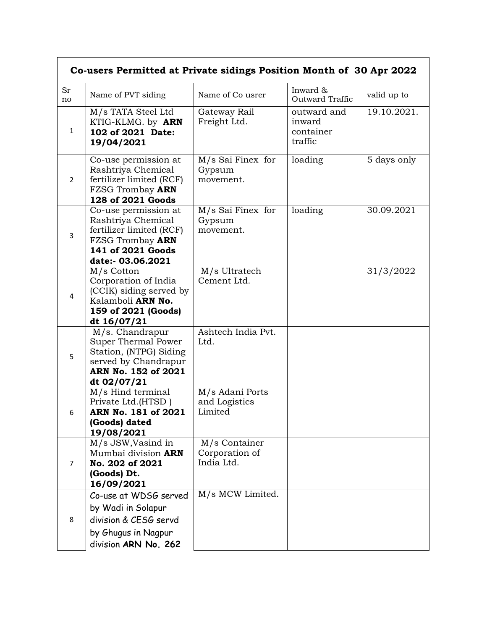| Co-users Permitted at Private sidings Position Month of 30 Apr 2022 |                                                                                                                                      |                                               |                                               |             |  |  |
|---------------------------------------------------------------------|--------------------------------------------------------------------------------------------------------------------------------------|-----------------------------------------------|-----------------------------------------------|-------------|--|--|
| Sr<br>no                                                            | Name of PVT siding                                                                                                                   | Name of Co usrer                              | Inward &<br>Outward Traffic                   | valid up to |  |  |
| $\mathbf{1}$                                                        | M/s TATA Steel Ltd<br>KTIG-KLMG. by ARN<br>102 of 2021 Date:<br>19/04/2021                                                           | Gateway Rail<br>Freight Ltd.                  | outward and<br>inward<br>container<br>traffic | 19.10.2021. |  |  |
| $\overline{2}$                                                      | Co-use permission at<br>Rashtriya Chemical<br>fertilizer limited (RCF)<br>FZSG Trombay ARN<br>128 of 2021 Goods                      | M/s Sai Finex for<br>Gypsum<br>movement.      | loading                                       | 5 days only |  |  |
| $\overline{3}$                                                      | Co-use permission at<br>Rashtriya Chemical<br>fertilizer limited (RCF)<br>FZSG Trombay ARN<br>141 of 2021 Goods<br>date:- 03.06.2021 | M/s Sai Finex for<br>Gypsum<br>movement.      | loading                                       | 30.09.2021  |  |  |
| 4                                                                   | M/s Cotton<br>Corporation of India<br>(CCIK) siding served by<br>Kalamboli ARN No.<br>159 of 2021 (Goods)<br>dt 16/07/21             | M/s Ultratech<br>Cement Ltd.                  |                                               | 31/3/2022   |  |  |
| 5                                                                   | M/s. Chandrapur<br>Super Thermal Power<br>Station, (NTPG) Siding<br>served by Chandrapur<br>ARN No. 152 of 2021<br>dt 02/07/21       | Ashtech India Pvt.<br>Ltd.                    |                                               |             |  |  |
| 6                                                                   | M/s Hind terminal<br>Private Ltd.(HTSD)<br>ARN No. 181 of 2021<br>(Goods) dated<br>19/08/2021                                        | M/s Adani Ports<br>and Logistics<br>Limited   |                                               |             |  |  |
| 7                                                                   | M/s JSW, Vasind in<br>Mumbai division <b>ARN</b><br>No. 202 of 2021<br>(Goods) Dt.<br>16/09/2021                                     | M/s Container<br>Corporation of<br>India Ltd. |                                               |             |  |  |
| 8                                                                   | Co-use at WDSG served<br>by Wadi in Solapur<br>division & CESG servd<br>by Ghugus in Nagpur<br>division ARN No. 262                  | M/s MCW Limited.                              |                                               |             |  |  |